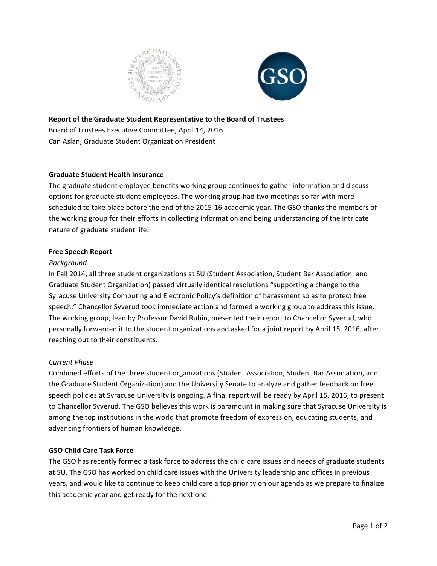



#### **Report of the Graduate Student Representative to the Board of Trustees**

Board of Trustees Executive Committee, April 14, 2016 Can Aslan, Graduate Student Organization President

# **Graduate Student Health Insurance**

The graduate student employee benefits working group continues to gather information and discuss options for graduate student employees. The working group had two meetings so far with more scheduled to take place before the end of the 2015-16 academic year. The GSO thanks the members of the working group for their efforts in collecting information and being understanding of the intricate nature of graduate student life.

# **Free Speech Report**

# *Background*

In Fall 2014, all three student organizations at SU (Student Association, Student Bar Association, and Graduate Student Organization) passed virtually identical resolutions "supporting a change to the Syracuse University Computing and Electronic Policy's definition of harassment so as to protect free speech." Chancellor Syverud took immediate action and formed a working group to address this issue. The working group, lead by Professor David Rubin, presented their report to Chancellor Syverud, who personally forwarded it to the student organizations and asked for a joint report by April 15, 2016, after reaching out to their constituents.

# *Current Phase*

Combined efforts of the three student organizations (Student Association, Student Bar Association, and the Graduate Student Organization) and the University Senate to analyze and gather feedback on free speech policies at Syracuse University is ongoing. A final report will be ready by April 15, 2016, to present to Chancellor Syverud. The GSO believes this work is paramount in making sure that Syracuse University is among the top institutions in the world that promote freedom of expression, educating students, and advancing frontiers of human knowledge.

# **GSO Child Care Task Force**

The GSO has recently formed a task force to address the child care issues and needs of graduate students at SU. The GSO has worked on child care issues with the University leadership and offices in previous years, and would like to continue to keep child care a top priority on our agenda as we prepare to finalize this academic year and get ready for the next one.